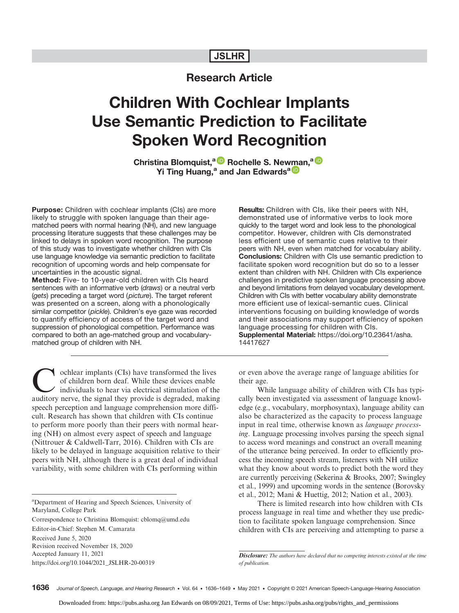## JSLHR

# Research Article

# Children With Cochlear Implants Use Semantic Prediction to Facilitate Spoken Word Recognition

Christina Blomquist,<sup>a D</sup> Rochelle S. New[ma](https://orcid.org/0000-0001-8872-5978)n,<sup>a D</sup> Yi Ting Huang,<sup>a</sup> and Jan Edwards<sup>a D</sup>

Purpose: Children with cochlear implants (CIs) are more likely to struggle with spoken language than their agematched peers with normal hearing (NH), and new language processing literature suggests that these challenges may be linked to delays in spoken word recognition. The purpose of this study was to investigate whether children with CIs use language knowledge via semantic prediction to facilitate recognition of upcoming words and help compensate for uncertainties in the acoustic signal.

Method: Five- to 10-year-old children with CIs heard sentences with an informative verb (draws) or a neutral verb (gets) preceding a target word (picture). The target referent was presented on a screen, along with a phonologically similar competitor (pickle). Children's eye gaze was recorded to quantify efficiency of access of the target word and suppression of phonological competition. Performance was compared to both an age-matched group and vocabularymatched group of children with NH.

Cochlear implants (CIs) have transformed the lives<br>of children born deaf. While these devices enable<br>individuals to hear via electrical stimulation of the<br>auditory nerve the signal they provide is degraded makin of children born deaf. While these devices enable individuals to hear via electrical stimulation of the auditory nerve, the signal they provide is degraded, making speech perception and language comprehension more difficult. Research has shown that children with CIs continue to perform more poorly than their peers with normal hearing (NH) on almost every aspect of speech and language (Nittrouer & Caldwell-Tarr, 2016). Children with CIs are likely to be delayed in language acquisition relative to their peers with NH, although there is a great deal of individual variability, with some children with CIs performing within

<sup>a</sup>Department of Hearing and Speech Sciences, University of Maryland, College Park

Correspondence to Christina Blomquist: cblomq@umd.edu

Editor-in-Chief: Stephen M. Camarata

Received June 5, 2020

Revision received November 18, 2020 Accepted January 11, 2021

https://doi.org/10.1044/2021\_JSLHR-20-00319

Results: Children with CIs, like their peers with NH, demonstrated use of informative verbs to look more quickly to the target word and look less to the phonological competitor. However, children with CIs demonstrated less efficient use of semantic cues relative to their peers with NH, even when matched for vocabulary ability. Conclusions: Children with CIs use semantic prediction to facilitate spoken word recognition but do so to a lesser extent than children with NH. Children with CIs experience challenges in predictive spoken language processing above and beyond limitations from delayed vocabulary development. Children with CIs with better vocabulary ability demonstrate more efficient use of lexical-semantic cues. Clinical interventions focusing on building knowledge of words and their associations may support efficiency of spoken language processing for children with CIs. Supplemental Material: [https://doi.org/10.23641/asha.](https://doi.org/10.23641/asha.14417627) [14417627](https://doi.org/10.23641/asha.14417627)

or even above the average range of language abilities for their age.

While language ability of children with CIs has typically been investigated via assessment of language knowledge (e.g., vocabulary, morphosyntax), language ability can also be characterized as the capacity to process language input in real time, otherwise known as language processing. Language processing involves parsing the speech signal to access word meanings and construct an overall meaning of the utterance being perceived. In order to efficiently process the incoming speech stream, listeners with NH utilize what they know about words to predict both the word they are currently perceiving (Sekerina & Brooks, 2007; Swingley et al., 1999) and upcoming words in the sentence (Borovsky et al., 2012; Mani & Huettig, 2012; Nation et al., 2003).

There is limited research into how children with CIs process language in real time and whether they use prediction to facilitate spoken language comprehension. Since children with CIs are perceiving and attempting to parse a

Disclosure: The authors have declared that no competing interests existed at the time of publication.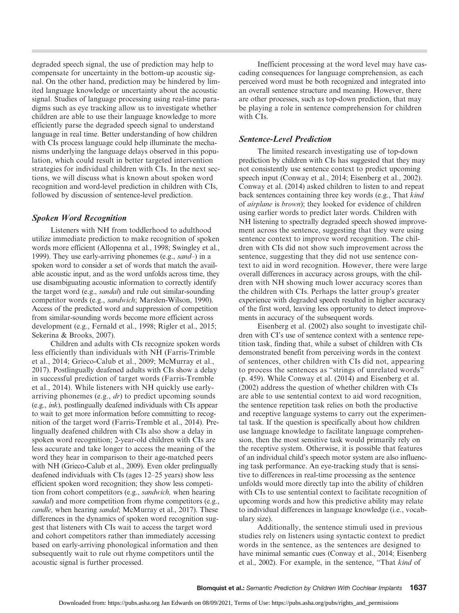degraded speech signal, the use of prediction may help to compensate for uncertainty in the bottom-up acoustic signal. On the other hand, prediction may be hindered by limited language knowledge or uncertainty about the acoustic signal. Studies of language processing using real-time paradigms such as eye tracking allow us to investigate whether children are able to use their language knowledge to more efficiently parse the degraded speech signal to understand language in real time. Better understanding of how children with CIs process language could help illuminate the mechanisms underlying the language delays observed in this population, which could result in better targeted intervention strategies for individual children with CIs. In the next sections, we will discuss what is known about spoken word recognition and word-level prediction in children with CIs, followed by discussion of sentence-level prediction.

## Spoken Word Recognition

Listeners with NH from toddlerhood to adulthood utilize immediate prediction to make recognition of spoken words more efficient (Allopenna et al., 1998; Swingley et al., 1999). They use early-arriving phonemes (e.g., sand–) in a spoken word to consider a set of words that match the available acoustic input, and as the word unfolds across time, they use disambiguating acoustic information to correctly identify the target word (e.g., sandal) and rule out similar-sounding competitor words (e.g., sandwich; Marslen-Wilson, 1990). Access of the predicted word and suppression of competition from similar-sounding words become more efficient across development (e.g., Fernald et al., 1998; Rigler et al., 2015; Sekerina & Brooks, 2007).

Children and adults with CIs recognize spoken words less efficiently than individuals with NH (Farris-Trimble et al., 2014; Grieco-Calub et al., 2009; McMurray et al., 2017). Postlingually deafened adults with CIs show a delay in successful prediction of target words (Farris-Tremble et al., 2014). While listeners with NH quickly use earlyarriving phonemes (e.g., dr) to predict upcoming sounds (e.g., ink), postlingually deafened individuals with CIs appear to wait to get more information before committing to recognition of the target word (Farris-Tremble et al., 2014). Prelingually deafened children with CIs also show a delay in spoken word recognition; 2-year-old children with CIs are less accurate and take longer to access the meaning of the word they hear in comparison to their age-matched peers with NH (Grieco-Calub et al., 2009). Even older prelingually deafened individuals with CIs (ages 12–25 years) show less efficient spoken word recognition; they show less competition from cohort competitors (e.g., sandwich, when hearing sandal) and more competition from rhyme competitors (e.g., candle, when hearing sandal; McMurray et al., 2017). These differences in the dynamics of spoken word recognition suggest that listeners with CIs wait to access the target word and cohort competitors rather than immediately accessing based on early-arriving phonological information and then subsequently wait to rule out rhyme competitors until the acoustic signal is further processed.

Inefficient processing at the word level may have cascading consequences for language comprehension, as each perceived word must be both recognized and integrated into an overall sentence structure and meaning. However, there are other processes, such as top-down prediction, that may be playing a role in sentence comprehension for children with CIs.

## Sentence-Level Prediction

The limited research investigating use of top-down prediction by children with CIs has suggested that they may not consistently use sentence context to predict upcoming speech input (Conway et al., 2014; Eisenberg et al., 2002). Conway et al. (2014) asked children to listen to and repeat back sentences containing three key words (e.g., That kind of airplane is brown); they looked for evidence of children using earlier words to predict later words. Children with NH listening to spectrally degraded speech showed improvement across the sentence, suggesting that they were using sentence context to improve word recognition. The children with CIs did not show such improvement across the sentence, suggesting that they did not use sentence context to aid in word recognition. However, there were large overall differences in accuracy across groups, with the children with NH showing much lower accuracy scores than the children with CIs. Perhaps the latter group's greater experience with degraded speech resulted in higher accuracy of the first word, leaving less opportunity to detect improvements in accuracy of the subsequent words.

Eisenberg et al. (2002) also sought to investigate children with CI's use of sentence context with a sentence repetition task, finding that, while a subset of children with CIs demonstrated benefit from perceiving words in the context of sentences, other children with CIs did not, appearing to process the sentences as "strings of unrelated words" (p. 459). While Conway et al. (2014) and Eisenberg et al. (2002) address the question of whether children with CIs are able to use sentential context to aid word recognition, the sentence repetition task relies on both the productive and receptive language systems to carry out the experimental task. If the question is specifically about how children use language knowledge to facilitate language comprehension, then the most sensitive task would primarily rely on the receptive system. Otherwise, it is possible that features of an individual child's speech motor system are also influencing task performance. An eye-tracking study that is sensitive to differences in real-time processing as the sentence unfolds would more directly tap into the ability of children with CIs to use sentential context to facilitate recognition of upcoming words and how this predictive ability may relate to individual differences in language knowledge (i.e., vocabulary size).

Additionally, the sentence stimuli used in previous studies rely on listeners using syntactic context to predict words in the sentence, as the sentences are designed to have minimal semantic cues (Conway et al., 2014; Eisenberg et al., 2002). For example, in the sentence, "That kind of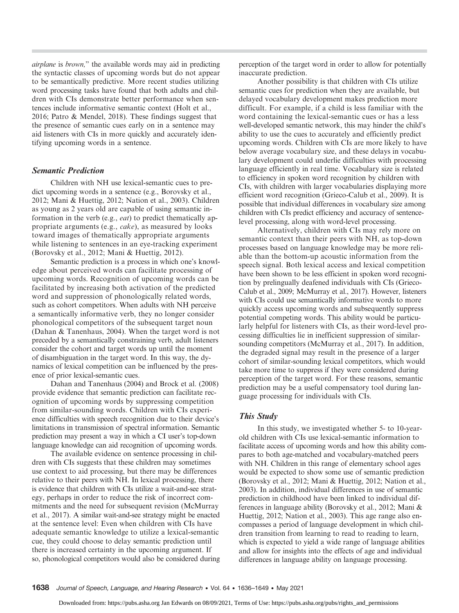airplane is brown," the available words may aid in predicting the syntactic classes of upcoming words but do not appear to be semantically predictive. More recent studies utilizing word processing tasks have found that both adults and children with CIs demonstrate better performance when sentences include informative semantic context (Holt et al., 2016; Patro & Mendel, 2018). These findings suggest that the presence of semantic cues early on in a sentence may aid listeners with CIs in more quickly and accurately identifying upcoming words in a sentence.

## Semantic Prediction

Children with NH use lexical-semantic cues to predict upcoming words in a sentence (e.g., Borovsky et al., 2012; Mani & Huettig, 2012; Nation et al., 2003). Children as young as 2 years old are capable of using semantic information in the verb (e.g., eat) to predict thematically appropriate arguments (e.g., cake), as measured by looks toward images of thematically appropriate arguments while listening to sentences in an eye-tracking experiment (Borovsky et al., 2012; Mani & Huettig, 2012).

Semantic prediction is a process in which one's knowledge about perceived words can facilitate processing of upcoming words. Recognition of upcoming words can be facilitated by increasing both activation of the predicted word and suppression of phonologically related words, such as cohort competitors. When adults with NH perceive a semantically informative verb, they no longer consider phonological competitors of the subsequent target noun (Dahan & Tanenhaus, 2004). When the target word is not preceded by a semantically constraining verb, adult listeners consider the cohort and target words up until the moment of disambiguation in the target word. In this way, the dynamics of lexical competition can be influenced by the presence of prior lexical-semantic cues.

Dahan and Tanenhaus (2004) and Brock et al. (2008) provide evidence that semantic prediction can facilitate recognition of upcoming words by suppressing competition from similar-sounding words. Children with CIs experience difficulties with speech recognition due to their device's limitations in transmission of spectral information. Semantic prediction may present a way in which a CI user's top-down language knowledge can aid recognition of upcoming words.

The available evidence on sentence processing in children with CIs suggests that these children may sometimes use context to aid processing, but there may be differences relative to their peers with NH. In lexical processing, there is evidence that children with CIs utilize a wait-and-see strategy, perhaps in order to reduce the risk of incorrect commitments and the need for subsequent revision (McMurray et al., 2017). A similar wait-and-see strategy might be enacted at the sentence level: Even when children with CIs have adequate semantic knowledge to utilize a lexical-semantic cue, they could choose to delay semantic prediction until there is increased certainty in the upcoming argument. If so, phonological competitors would also be considered during

perception of the target word in order to allow for potentially inaccurate prediction.

Another possibility is that children with CIs utilize semantic cues for prediction when they are available, but delayed vocabulary development makes prediction more difficult. For example, if a child is less familiar with the word containing the lexical-semantic cues or has a less well-developed semantic network, this may hinder the child's ability to use the cues to accurately and efficiently predict upcoming words. Children with CIs are more likely to have below average vocabulary size, and these delays in vocabulary development could underlie difficulties with processing language efficiently in real time. Vocabulary size is related to efficiency in spoken word recognition by children with CIs, with children with larger vocabularies displaying more efficient word recognition (Grieco-Calub et al., 2009). It is possible that individual differences in vocabulary size among children with CIs predict efficiency and accuracy of sentencelevel processing, along with word-level processing.

Alternatively, children with CIs may rely more on semantic context than their peers with NH, as top-down processes based on language knowledge may be more reliable than the bottom-up acoustic information from the speech signal. Both lexical access and lexical competition have been shown to be less efficient in spoken word recognition by prelingually deafened individuals with CIs (Grieco-Calub et al., 2009; McMurray et al., 2017). However, listeners with CIs could use semantically informative words to more quickly access upcoming words and subsequently suppress potential competing words. This ability would be particularly helpful for listeners with CIs, as their word-level processing difficulties lie in inefficient suppression of similarsounding competitors (McMurray et al., 2017). In addition, the degraded signal may result in the presence of a larger cohort of similar-sounding lexical competitors, which would take more time to suppress if they were considered during perception of the target word. For these reasons, semantic prediction may be a useful compensatory tool during language processing for individuals with CIs.

## This Study

In this study, we investigated whether 5- to 10-yearold children with CIs use lexical-semantic information to facilitate access of upcoming words and how this ability compares to both age-matched and vocabulary-matched peers with NH. Children in this range of elementary school ages would be expected to show some use of semantic prediction (Borovsky et al., 2012; Mani & Huettig, 2012; Nation et al., 2003). In addition, individual differences in use of semantic prediction in childhood have been linked to individual differences in language ability (Borovsky et al., 2012; Mani & Huettig, 2012; Nation et al., 2003). This age range also encompasses a period of language development in which children transition from learning to read to reading to learn, which is expected to yield a wide range of language abilities and allow for insights into the effects of age and individual differences in language ability on language processing.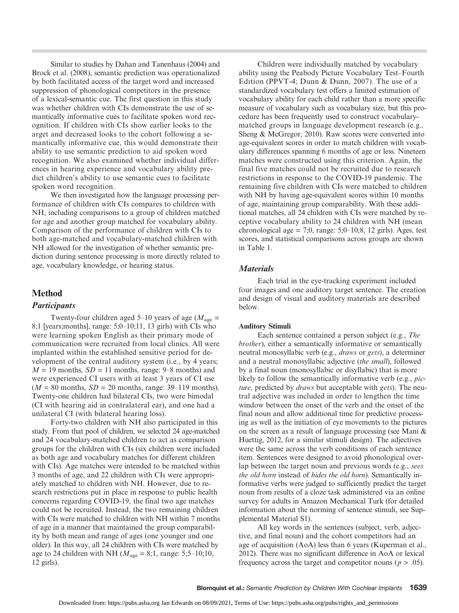Similar to studies by Dahan and Tanenhaus (2004) and Brock et al. (2008), semantic prediction was operationalized by both facilitated access of the target word and increased suppression of phonological competitors in the presence of a lexical-semantic cue. The first question in this study was whether children with CIs demonstrate the use of semantically informative cues to facilitate spoken word recognition. If children with CIs show earlier looks to the arget and decreased looks to the cohort following a semantically informative cue, this would demonstrate their ability to use semantic prediction to aid spoken word recognition. We also examined whether individual differences in hearing experience and vocabulary ability predict children's ability to use semantic cues to facilitate spoken word recognition.

We then investigated how the language processing performance of children with CIs compares to children with NH, including comparisons to a group of children matched for age and another group matched for vocabulary ability. Comparison of the performance of children with CIs to both age-matched and vocabulary-matched children with NH allowed for the investigation of whether semantic prediction during sentence processing is more directly related to age, vocabulary knowledge, or hearing status.

## Method

#### **Participants**

Twenty-four children aged 5–10 years of age ( $M_{\text{age}}$  = 8;1 [years;months], range: 5;0–10;11, 13 girls) with CIs who were learning spoken English as their primary mode of communication were recruited from local clinics. All were implanted within the established sensitive period for development of the central auditory system (i.e., by 4 years;  $M = 19$  months,  $SD = 11$  months, range: 9–8 months) and were experienced CI users with at least 3 years of CI use  $(M = 80$  months,  $SD = 20$  months, range: 39–119 months). Twenty-one children had bilateral CIs, two were bimodal (CI with hearing aid in contralateral ear), and one had a unilateral CI (with bilateral hearing loss).

Forty-two children with NH also participated in this study. From that pool of children, we selected 24 age-matched and 24 vocabulary-matched children to act as comparison groups for the children with CIs (six children were included as both age and vocabulary matches for different children with CIs). Age matches were intended to be matched within 3 months of age, and 22 children with CIs were appropriately matched to children with NH. However, due to research restrictions put in place in response to public health concerns regarding COVID-19, the final two age matches could not be recruited. Instead, the two remaining children with CIs were matched to children with NH within 7 months of age in a manner that maintained the group comparability by both mean and range of ages (one younger and one older). In this way, all 24 children with CIs were matched by age to 24 children with NH ( $M_{\text{age}} = 8;1$ , range: 5;5–10;10, 12 girls).

Children were individually matched by vocabulary ability using the Peabody Picture Vocabulary Test–Fourth Edition (PPVT-4; Dunn & Dunn, 2007). The use of a standardized vocabulary test offers a limited estimation of vocabulary ability for each child rather than a more specific measure of vocabulary such as vocabulary size, but this procedure has been frequently used to construct vocabularymatched groups in language development research (e.g., Sheng & McGregor, 2010). Raw scores were converted into age-equivalent scores in order to match children with vocabulary differences spanning 6 months of age or less. Nineteen matches were constructed using this criterion. Again, the final five matches could not be recruited due to research restrictions in response to the COVID-19 pandemic. The remaining five children with CIs were matched to children with NH by having age-equivalent scores within 10 months of age, maintaining group comparability. With these additional matches, all 24 children with CIs were matched by receptive vocabulary ability to 24 children with NH (mean chronological age = 7;0, range:  $5;0-10;8$ , 12 girls). Ages, test scores, and statistical comparisons across groups are shown in Table 1.

## **Materials**

Each trial in the eye-tracking experiment included four images and one auditory target sentence. The creation and design of visual and auditory materials are described below.

## Auditory Stimuli

Each sentence contained a person subject (e.g., The brother), either a semantically informative or semantically neutral monosyllabic verb (e.g., draws or gets), a determiner and a neutral monosyllabic adjective (the small), followed by a final noun (monosyllabic or disyllabic) that is more likely to follow the semantically informative verb (e.g., *pic*ture, predicted by *draws* but acceptable with *gets*). The neutral adjective was included in order to lengthen the time window between the onset of the verb and the onset of the final noun and allow additional time for predictive processing as well as the initiation of eye movements to the pictures on the screen as a result of language processing (see Mani & Huettig, 2012, for a similar stimuli design). The adjectives were the same across the verb conditions of each sentence item. Sentences were designed to avoid phonological overlap between the target noun and previous words (e.g., sees the old horn instead of hides the old horn). Semantically informative verbs were judged to sufficiently predict the target noun from results of a cloze task administered via an online survey for adults in Amazon Mechanical Turk (for detailed information about the norming of sentence stimuli, see Supplemental Material S1).

All key words in the sentences (subject, verb, adjective, and final noun) and the cohort competitors had an age of acquisition (AoA) less than 6 years (Kuperman et al., 2012). There was no significant difference in AoA or lexical frequency across the target and competitor nouns ( $p > .05$ ).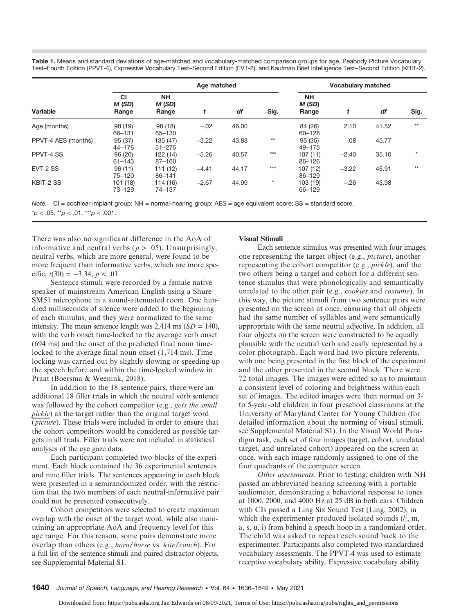Table 1. Means and standard deviations of age-matched and vocabulary-matched comparison groups for age, Peabody Picture Vocabulary Test–Fourth Edition (PPVT-4), Expressive Vocabulary Test–Second Edition (EVT-2), and Kaufman Brief Intelligence Test–Second Edition (KBIT-2).

| Variable            | Age matched                  |                              |         |       |              | <b>Vocabulary matched</b>    |         |       |         |
|---------------------|------------------------------|------------------------------|---------|-------|--------------|------------------------------|---------|-------|---------|
|                     | <b>CI</b><br>M (SD)<br>Range | <b>NH</b><br>M (SD)<br>Range | t       | df    | Sig.         | <b>NH</b><br>M (SD)<br>Range | t       | df    | Sig.    |
| Age (months)        | 98 (19)<br>66-131            | 98 (18)<br>65-130            | $-.02$  | 46.00 |              | 84 (26)<br>60-128            | 2.10    | 41.52 | $**$    |
| PPVT-4 AES (months) | 95(37)<br>$44 - 176$         | 135 (47)<br>$51 - 275$       | $-3.22$ | 43.83 | $\star\star$ | 95 (35)<br>49-173            | .08     | 45.77 |         |
| PPVT-4 SS           | 96 (20)<br>$61 - 143$        | 122 (14)<br>$87 - 160$       | $-5.26$ | 40.57 | $***$        | 107(11)<br>86-126            | $-2.40$ | 35.10 | $\star$ |
| EVT-2 SS            | 96(11)<br>75-120             | 111(12)<br>$86 - 141$        | $-4.41$ | 44.17 | $***$        | 107(12)<br>86-129            | $-3.22$ | 45.91 | $**$    |
| KBIT-2 SS           | 101(18)<br>73-129            | 114 (16)<br>74-137           | $-2.67$ | 44.99 | $\star$      | 103 (19)<br>66-129           | $-.26$  | 43.98 |         |

Note. CI = cochlear implant group; NH = normal-hearing group; AES = age equivalent score; SS = standard score.

 $p < .05$ . \*\*p  $< .01$ . \*\*\*p  $< .001$ .

There was also no significant difference in the AoA of informative and neutral verbs ( $p > .05$ ). Unsurprisingly, neutral verbs, which are more general, were found to be more frequent than informative verbs, which are more specific,  $t(30) = -3.34$ ,  $p < .01$ .

Sentence stimuli were recorded by a female native speaker of mainstream American English using a Shure SM51 microphone in a sound-attenuated room. One hundred milliseconds of silence were added to the beginning of each stimulus, and they were normalized to the same intensity. The mean sentence length was  $2,414$  ms  $(SD = 140)$ , with the verb onset time-locked to the average verb onset (694 ms) and the onset of the predicted final noun timelocked to the average final noun onset (1,714 ms). Time locking was carried out by slightly slowing or speeding up the speech before and within the time-locked window in Praat (Boersma & Weenink, 2018).

In addition to the 18 sentence pairs, there were an additional 18 filler trials in which the neutral verb sentence was followed by the cohort competitor (e.g., gets the small pickle) as the target rather than the original target word (picture). These trials were included in order to ensure that the cohort competitors would be considered as possible targets in all trials. Filler trials were not included in statistical analyses of the eye gaze data.

Each participant completed two blocks of the experiment. Each block contained the 36 experimental sentences and nine filler trials. The sentences appearing in each block were presented in a semirandomized order, with the restriction that the two members of each neutral-informative pair could not be presented consecutively.

Cohort competitors were selected to create maximum overlap with the onset of the target word, while also maintaining an appropriate AoA and frequency level for this age range. For this reason, some pairs demonstrate more overlap than others (e.g., horn/horse vs. kite/couch). For a full list of the sentence stimuli and paired distractor objects, see Supplemental Material S1.

#### Visual Stimuli

Each sentence stimulus was presented with four images, one representing the target object (e.g., picture), another representing the cohort competitor (e.g., pickle), and the two others being a target and cohort for a different sentence stimulus that were phonologically and semantically unrelated to the other pair (e.g., cookies and costume). In this way, the picture stimuli from two sentence pairs were presented on the screen at once, ensuring that all objects had the same number of syllables and were semantically appropriate with the same neutral adjective. In addition, all four objects on the screen were constructed to be equally plausible with the neutral verb and easily represented by a color photograph. Each word had two picture referents, with one being presented in the first block of the experiment and the other presented in the second block. There were 72 total images. The images were edited so as to maintain a consistent level of coloring and brightness within each set of images. The edited images were then normed on 3 to 5-year-old children in four preschool classrooms at the University of Maryland Center for Young Children (for detailed information about the norming of visual stimuli, see Supplemental Material S1). In the Visual World Paradigm task, each set of four images (target, cohort, unrelated target, and unrelated cohort) appeared on the screen at once, with each image randomly assigned to one of the four quadrants of the computer screen.

Other assessments. Prior to testing, children with NH passed an abbreviated hearing screening with a portable audiometer, demonstrating a behavioral response to tones at 1000, 2000, and 4000 Hz at 25 dB in both ears. Children with CIs passed a Ling Six Sound Test (Ling, 2002), in which the experimenter produced isolated sounds (/∫, m, a, s, u, i) from behind a speech hoop in a randomized order. The child was asked to repeat each sound back to the experimenter. Participants also completed two standardized vocabulary assessments. The PPVT-4 was used to estimate receptive vocabulary ability. Expressive vocabulary ability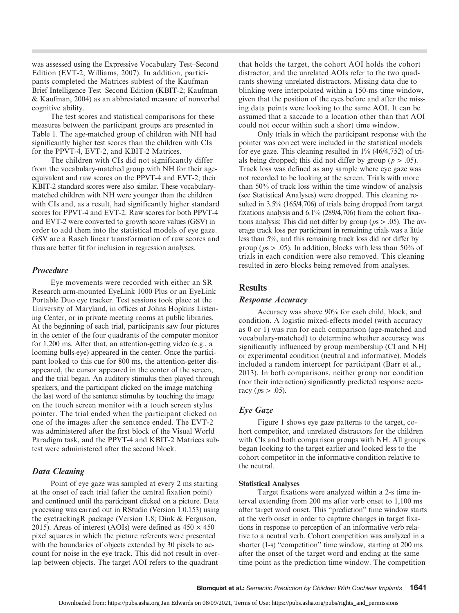was assessed using the Expressive Vocabulary Test–Second Edition (EVT-2; Williams, 2007). In addition, participants completed the Matrices subtest of the Kaufman Brief Intelligence Test–Second Edition (KBIT-2; Kaufman & Kaufman, 2004) as an abbreviated measure of nonverbal cognitive ability.

The test scores and statistical comparisons for these measures between the participant groups are presented in Table 1. The age-matched group of children with NH had significantly higher test scores than the children with CIs for the PPVT-4, EVT-2, and KBIT-2 Matrices.

The children with CIs did not significantly differ from the vocabulary-matched group with NH for their ageequivalent and raw scores on the PPVT-4 and EVT-2; their KBIT-2 standard scores were also similar. These vocabularymatched children with NH were younger than the children with CIs and, as a result, had significantly higher standard scores for PPVT-4 and EVT-2. Raw scores for both PPVT-4 and EVT-2 were converted to growth score values (GSV) in order to add them into the statistical models of eye gaze. GSV are a Rasch linear transformation of raw scores and thus are better fit for inclusion in regression analyses.

#### Procedure

Eye movements were recorded with either an SR Research arm-mounted EyeLink 1000 Plus or an EyeLink Portable Duo eye tracker. Test sessions took place at the University of Maryland, in offices at Johns Hopkins Listening Center, or in private meeting rooms at public libraries. At the beginning of each trial, participants saw four pictures in the center of the four quadrants of the computer monitor for 1,200 ms. After that, an attention-getting video (e.g., a looming bulls-eye) appeared in the center. Once the participant looked to this cue for 800 ms, the attention-getter disappeared, the cursor appeared in the center of the screen, and the trial began. An auditory stimulus then played through speakers, and the participant clicked on the image matching the last word of the sentence stimulus by touching the image on the touch screen monitor with a touch screen stylus pointer. The trial ended when the participant clicked on one of the images after the sentence ended. The EVT-2 was administered after the first block of the Visual World Paradigm task, and the PPVT-4 and KBIT-2 Matrices subtest were administered after the second block.

## Data Cleaning

Point of eye gaze was sampled at every 2 ms starting at the onset of each trial (after the central fixation point) and continued until the participant clicked on a picture. Data processing was carried out in RStudio (Version 1.0.153) using the eyetrackingR package (Version 1.8; Dink & Ferguson, 2015). Areas of interest (AOIs) were defined as  $450 \times 450$ pixel squares in which the picture referents were presented with the boundaries of objects extended by 30 pixels to account for noise in the eye track. This did not result in overlap between objects. The target AOI refers to the quadrant

that holds the target, the cohort AOI holds the cohort distractor, and the unrelated AOIs refer to the two quadrants showing unrelated distractors. Missing data due to blinking were interpolated within a 150-ms time window, given that the position of the eyes before and after the missing data points were looking to the same AOI. It can be assumed that a saccade to a location other than that AOI could not occur within such a short time window.

Only trials in which the participant response with the pointer was correct were included in the statistical models for eye gaze. This cleaning resulted in 1% (46/4,752) of trials being dropped; this did not differ by group ( $p > .05$ ). Track loss was defined as any sample where eye gaze was not recorded to be looking at the screen. Trials with more than 50% of track loss within the time window of analysis (see Statistical Analyses) were dropped. This cleaning resulted in 3.5% (165/4,706) of trials being dropped from target fixations analysis and 6.1% (289/4,706) from the cohort fixations analysis: This did not differ by group ( $ps > .05$ ). The average track loss per participant in remaining trials was a little less than 5%, and this remaining track loss did not differ by group ( $ps > .05$ ). In addition, blocks with less than 50% of trials in each condition were also removed. This cleaning resulted in zero blocks being removed from analyses.

## **Results**

#### Response Accuracy

Accuracy was above 90% for each child, block, and condition. A logistic mixed-effects model (with accuracy as 0 or 1) was run for each comparison (age-matched and vocabulary-matched) to determine whether accuracy was significantly influenced by group membership (CI and NH) or experimental condition (neutral and informative). Models included a random intercept for participant (Barr et al., 2013). In both comparisons, neither group nor condition (nor their interaction) significantly predicted response accuracy ( $ps > .05$ ).

#### Eye Gaze

Figure 1 shows eye gaze patterns to the target, cohort competitor, and unrelated distractors for the children with CIs and both comparison groups with NH. All groups began looking to the target earlier and looked less to the cohort competitor in the informative condition relative to the neutral.

#### Statistical Analyses

Target fixations were analyzed within a 2-s time interval extending from 200 ms after verb onset to 1,100 ms after target word onset. This "prediction" time window starts at the verb onset in order to capture changes in target fixations in response to perception of an informative verb relative to a neutral verb. Cohort competition was analyzed in a shorter (1-s) "competition" time window, starting at 200 ms after the onset of the target word and ending at the same time point as the prediction time window. The competition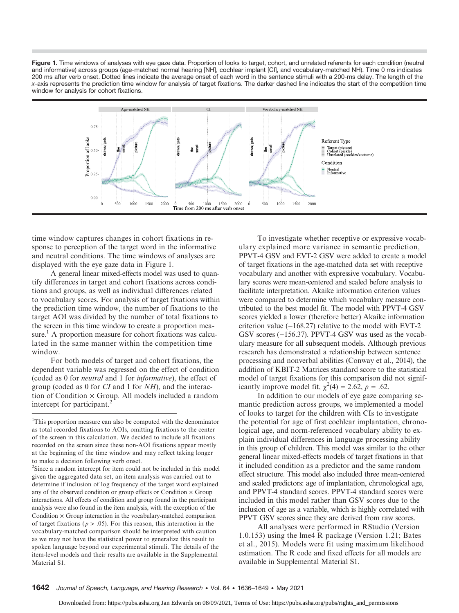Figure 1. Time windows of analyses with eye gaze data. Proportion of looks to target, cohort, and unrelated referents for each condition (neutral and informative) across groups (age-matched normal hearing [NH], cochlear implant [CI], and vocabulary-matched NH). Time 0 ms indicates 200 ms after verb onset. Dotted lines indicate the average onset of each word in the sentence stimuli with a 200-ms delay. The length of the x-axis represents the prediction time window for analysis of target fixations. The darker dashed line indicates the start of the competition time window for analysis for cohort fixations.



time window captures changes in cohort fixations in response to perception of the target word in the informative and neutral conditions. The time windows of analyses are displayed with the eye gaze data in Figure 1.

A general linear mixed-effects model was used to quantify differences in target and cohort fixations across conditions and groups, as well as individual differences related to vocabulary scores. For analysis of target fixations within the prediction time window, the number of fixations to the target AOI was divided by the number of total fixations to the screen in this time window to create a proportion measure.<sup>1</sup> A proportion measure for cohort fixations was calculated in the same manner within the competition time window.

For both models of target and cohort fixations, the dependent variable was regressed on the effect of condition (coded as 0 for neutral and 1 for informative), the effect of group (coded as 0 for CI and 1 for NH), and the interaction of Condition  $\times$  Group. All models included a random intercept for participant.<sup>2</sup>

<sup>2</sup>Since a random intercept for item could not be included in this model given the aggregated data set, an item analysis was carried out to determine if inclusion of log frequency of the target word explained any of the observed condition or group effects or Condition  $\times$  Group interactions. All effects of condition and group found in the participant analysis were also found in the item analysis, with the exception of the Condition  $\times$  Group interaction in the vocabulary-matched comparison of target fixations ( $p > .05$ ). For this reason, this interaction in the vocabulary-matched comparison should be interpreted with caution as we may not have the statistical power to generalize this result to spoken language beyond our experimental stimuli. The details of the item-level models and their results are available in the Supplemental Material S1.

To investigate whether receptive or expressive vocabulary explained more variance in semantic prediction, PPVT-4 GSV and EVT-2 GSV were added to create a model of target fixations in the age-matched data set with receptive vocabulary and another with expressive vocabulary. Vocabulary scores were mean-centered and scaled before analysis to facilitate interpretation. Akaike information criterion values were compared to determine which vocabulary measure contributed to the best model fit. The model with PPVT-4 GSV scores yielded a lower (therefore better) Akaike information criterion value (−168.27) relative to the model with EVT-2 GSV scores (−156.37). PPVT-4 GSV was used as the vocabulary measure for all subsequent models. Although previous research has demonstrated a relationship between sentence processing and nonverbal abilities (Conway et al., 2014), the addition of KBIT-2 Matrices standard score to the statistical model of target fixations for this comparison did not significantly improve model fit,  $\chi^2(4) = 2.62$ ,  $p = .62$ .

In addition to our models of eye gaze comparing semantic prediction across groups, we implemented a model of looks to target for the children with CIs to investigate the potential for age of first cochlear implantation, chronological age, and norm-referenced vocabulary ability to explain individual differences in language processing ability in this group of children. This model was similar to the other general linear mixed-effects models of target fixations in that it included condition as a predictor and the same random effect structure. This model also included three mean-centered and scaled predictors: age of implantation, chronological age, and PPVT-4 standard scores. PPVT-4 standard scores were included in this model rather than GSV scores due to the inclusion of age as a variable, which is highly correlated with PPVT GSV scores since they are derived from raw scores.

All analyses were performed in RStudio (Version 1.0.153) using the lme4 R package (Version 1.21; Bates et al., 2015). Models were fit using maximum likelihood estimation. The R code and fixed effects for all models are available in Supplemental Material S1.

<sup>&</sup>lt;sup>1</sup>This proportion measure can also be computed with the denominator as total recorded fixations to AOIs, omitting fixations to the center of the screen in this calculation. We decided to include all fixations recorded on the screen since these non-AOI fixations appear mostly at the beginning of the time window and may reflect taking longer to make a decision following verb onset.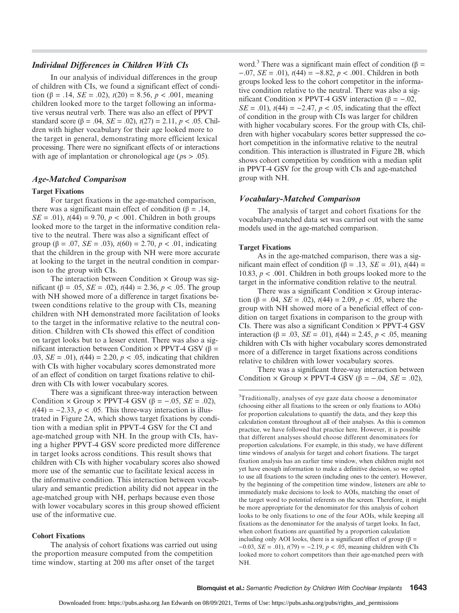## Individual Differences in Children With CIs

In our analysis of individual differences in the group of children with CIs, we found a significant effect of condition ( $\beta$  = .14, *SE* = .02),  $t(20)$  = 8.56,  $p < .001$ , meaning children looked more to the target following an informative versus neutral verb. There was also an effect of PPVT standard score ( $\beta$  = .04, *SE* = .02),  $t(27)$  = 2.11,  $p < .05$ . Children with higher vocabulary for their age looked more to the target in general, demonstrating more efficient lexical processing. There were no significant effects of or interactions with age of implantation or chronological age ( $ps > .05$ ).

## Age-Matched Comparison

#### Target Fixations

For target fixations in the age-matched comparison, there was a significant main effect of condition ( $\beta = .14$ ,  $SE = .01$ ,  $t(44) = 9.70$ ,  $p < .001$ . Children in both groups looked more to the target in the informative condition relative to the neutral. There was also a significant effect of group ( $\beta = .07$ ,  $SE = .03$ ),  $t(60) = 2.70$ ,  $p < .01$ , indicating that the children in the group with NH were more accurate at looking to the target in the neutral condition in comparison to the group with CIs.

The interaction between Condition  $\times$  Group was significant (β = .05, *SE* = .02),  $t(44)$  = 2.36,  $p < .05$ . The group with NH showed more of a difference in target fixations between conditions relative to the group with CIs, meaning children with NH demonstrated more facilitation of looks to the target in the informative relative to the neutral condition. Children with CIs showed this effect of condition on target looks but to a lesser extent. There was also a significant interaction between Condition  $\times$  PPVT-4 GSV (β = .03,  $SE = .01$ ,  $t(44) = 2.20$ ,  $p < .05$ , indicating that children with CIs with higher vocabulary scores demonstrated more of an effect of condition on target fixations relative to children with CIs with lower vocabulary scores.

There was a significant three-way interaction between Condition  $\times$  Group  $\times$  PPVT-4 GSV ( $\beta$  = -.05, *SE* = .02),  $t(44) = -2.33, p < .05$ . This three-way interaction is illustrated in Figure 2A, which shows target fixations by condition with a median split in PPVT-4 GSV for the CI and age-matched group with NH. In the group with CIs, having a higher PPVT-4 GSV score predicted more difference in target looks across conditions. This result shows that children with CIs with higher vocabulary scores also showed more use of the semantic cue to facilitate lexical access in the informative condition. This interaction between vocabulary and semantic prediction ability did not appear in the age-matched group with NH, perhaps because even those with lower vocabulary scores in this group showed efficient use of the informative cue.

#### Cohort Fixations

The analysis of cohort fixations was carried out using the proportion measure computed from the competition time window, starting at 200 ms after onset of the target

word.<sup>3</sup> There was a significant main effect of condition ( $\beta$  =  $-0.07$ , *SE* = .01),  $t(44) = -8.82$ ,  $p < .001$ . Children in both groups looked less to the cohort competitor in the informative condition relative to the neutral. There was also a significant Condition × PPVT-4 GSV interaction (β =  $-.02$ ,  $SE = .01$ ,  $t(44) = -2.47$ ,  $p < .05$ , indicating that the effect of condition in the group with CIs was larger for children with higher vocabulary scores. For the group with CIs, children with higher vocabulary scores better suppressed the cohort competition in the informative relative to the neutral condition. This interaction is illustrated in Figure 2B, which shows cohort competition by condition with a median split in PPVT-4 GSV for the group with CIs and age-matched group with NH.

#### Vocabulary-Matched Comparison

The analysis of target and cohort fixations for the vocabulary-matched data set was carried out with the same models used in the age-matched comparison.

#### Target Fixations

As in the age-matched comparison, there was a significant main effect of condition (β = .13, *SE* = .01),  $t$ (44) = 10.83,  $p < .001$ . Children in both groups looked more to the target in the informative condition relative to the neutral.

There was a significant Condition  $\times$  Group interaction ( $\beta$  = .04, *SE* = .02),  $t(44)$  = 2.09,  $p < .05$ , where the group with NH showed more of a beneficial effect of condition on target fixations in comparison to the group with CIs. There was also a significant Condition × PPVT-4 GSV interaction (β = .03, *SE* = .01),  $t(44)$  = 2.45,  $p < .05$ , meaning children with CIs with higher vocabulary scores demonstrated more of a difference in target fixations across conditions relative to children with lower vocabulary scores.

There was a significant three-way interaction between Condition  $\times$  Group  $\times$  PPVT-4 GSV ( $\beta$  = -.04, *SE* = .02),

<sup>&</sup>lt;sup>3</sup>Traditionally, analyses of eye gaze data choose a denominator (choosing either all fixations to the screen or only fixations to AOIs) for proportion calculations to quantify the data, and they keep this calculation constant throughout all of their analyses. As this is common practice, we have followed that practice here. However, it is possible that different analyses should choose different denominators for proportion calculations. For example, in this study, we have different time windows of analysis for target and cohort fixations. The target fixation analysis has an earlier time window, when children might not yet have enough information to make a definitive decision, so we opted to use all fixations to the screen (including ones to the center). However, by the beginning of the competition time window, listeners are able to immediately make decisions to look to AOIs, matching the onset of the target word to potential referents on the screen. Therefore, it might be more appropriate for the denominator for this analysis of cohort looks to be only fixations to one of the four AOIs, while keeping all fixations as the denominator for the analysis of target looks. In fact, when cohort fixations are quantified by a proportion calculation including only AOI looks, there is a significant effect of group ( $\beta$  =  $-0.03$ ,  $SE = .01$ ),  $t(79) = -2.19$ ,  $p < .05$ , meaning children with CIs looked more to cohort competitors than their age-matched peers with NH.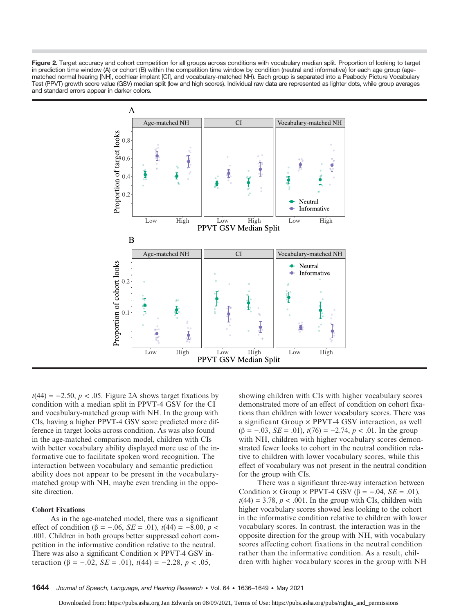Figure 2. Target accuracy and cohort competition for all groups across conditions with vocabulary median split. Proportion of looking to target in prediction time window (A) or cohort (B) within the competition time window by condition (neutral and informative) for each age group (agematched normal hearing [NH], cochlear implant [CI], and vocabulary-matched NH). Each group is separated into a Peabody Picture Vocabulary Test (PPVT) growth score value (GSV) median split (low and high scores). Individual raw data are represented as lighter dots, while group averages and standard errors appear in darker colors.



 $t(44) = -2.50, p < .05$ . Figure 2A shows target fixations by condition with a median split in PPVT-4 GSV for the CI and vocabulary-matched group with NH. In the group with CIs, having a higher PPVT-4 GSV score predicted more difference in target looks across condition. As was also found in the age-matched comparison model, children with CIs with better vocabulary ability displayed more use of the informative cue to facilitate spoken word recognition. The interaction between vocabulary and semantic prediction ability does not appear to be present in the vocabularymatched group with NH, maybe even trending in the opposite direction.

#### Cohort Fixations

As in the age-matched model, there was a significant effect of condition ( $\beta = -.06$ ,  $SE = .01$ ),  $t(44) = -8.00$ ,  $p <$ .001. Children in both groups better suppressed cohort competition in the informative condition relative to the neutral. There was also a significant Condition  $\times$  PPVT-4 GSV interaction (β = -.02, *SE* = .01),  $t(44)$  = -2.28, *p* < .05,

showing children with CIs with higher vocabulary scores demonstrated more of an effect of condition on cohort fixations than children with lower vocabulary scores. There was a significant Group × PPVT-4 GSV interaction, as well ( $\beta$  = -.03, *SE* = .01),  $t(76)$  = -2.74,  $p < .01$ . In the group with NH, children with higher vocabulary scores demonstrated fewer looks to cohort in the neutral condition relative to children with lower vocabulary scores, while this effect of vocabulary was not present in the neutral condition for the group with CIs.

There was a significant three-way interaction between Condition  $\times$  Group  $\times$  PPVT-4 GSV ( $\beta$  = -.04, *SE* = .01),  $t(44) = 3.78$ ,  $p < .001$ . In the group with CIs, children with higher vocabulary scores showed less looking to the cohort in the informative condition relative to children with lower vocabulary scores. In contrast, the interaction was in the opposite direction for the group with NH, with vocabulary scores affecting cohort fixations in the neutral condition rather than the informative condition. As a result, children with higher vocabulary scores in the group with NH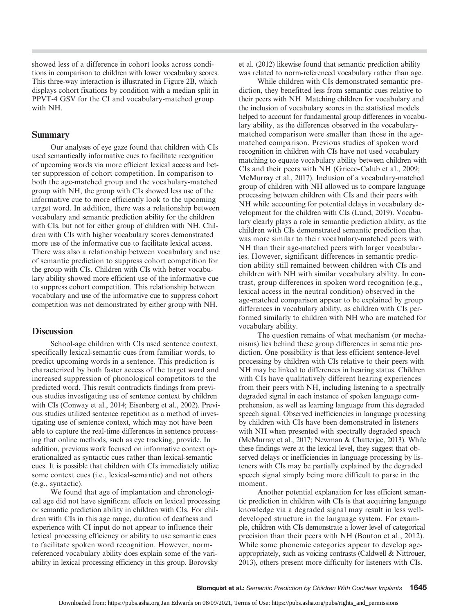showed less of a difference in cohort looks across conditions in comparison to children with lower vocabulary scores. This three-way interaction is illustrated in Figure 2B, which displays cohort fixations by condition with a median split in PPVT-4 GSV for the CI and vocabulary-matched group with NH.

## Summary

Our analyses of eye gaze found that children with CIs used semantically informative cues to facilitate recognition of upcoming words via more efficient lexical access and better suppression of cohort competition. In comparison to both the age-matched group and the vocabulary-matched group with NH, the group with CIs showed less use of the informative cue to more efficiently look to the upcoming target word. In addition, there was a relationship between vocabulary and semantic prediction ability for the children with CIs, but not for either group of children with NH. Children with CIs with higher vocabulary scores demonstrated more use of the informative cue to facilitate lexical access. There was also a relationship between vocabulary and use of semantic prediction to suppress cohort competition for the group with CIs. Children with CIs with better vocabulary ability showed more efficient use of the informative cue to suppress cohort competition. This relationship between vocabulary and use of the informative cue to suppress cohort competition was not demonstrated by either group with NH.

## **Discussion**

School-age children with CIs used sentence context, specifically lexical-semantic cues from familiar words, to predict upcoming words in a sentence. This prediction is characterized by both faster access of the target word and increased suppression of phonological competitors to the predicted word. This result contradicts findings from previous studies investigating use of sentence context by children with CIs (Conway et al., 2014; Eisenberg et al., 2002). Previous studies utilized sentence repetition as a method of investigating use of sentence context, which may not have been able to capture the real-time differences in sentence processing that online methods, such as eye tracking, provide. In addition, previous work focused on informative context operationalized as syntactic cues rather than lexical-semantic cues. It is possible that children with CIs immediately utilize some context cues (i.e., lexical-semantic) and not others (e.g., syntactic).

We found that age of implantation and chronological age did not have significant effects on lexical processing or semantic prediction ability in children with CIs. For children with CIs in this age range, duration of deafness and experience with CI input do not appear to influence their lexical processing efficiency or ability to use semantic cues to facilitate spoken word recognition. However, normreferenced vocabulary ability does explain some of the variability in lexical processing efficiency in this group. Borovsky

et al. (2012) likewise found that semantic prediction ability was related to norm-referenced vocabulary rather than age.

While children with CIs demonstrated semantic prediction, they benefitted less from semantic cues relative to their peers with NH. Matching children for vocabulary and the inclusion of vocabulary scores in the statistical models helped to account for fundamental group differences in vocabulary ability, as the differences observed in the vocabularymatched comparison were smaller than those in the agematched comparison. Previous studies of spoken word recognition in children with CIs have not used vocabulary matching to equate vocabulary ability between children with CIs and their peers with NH (Grieco-Calub et al., 2009; McMurray et al., 2017). Inclusion of a vocabulary-matched group of children with NH allowed us to compare language processing between children with CIs and their peers with NH while accounting for potential delays in vocabulary development for the children with CIs (Lund, 2019). Vocabulary clearly plays a role in semantic prediction ability, as the children with CIs demonstrated semantic prediction that was more similar to their vocabulary-matched peers with NH than their age-matched peers with larger vocabularies. However, significant differences in semantic prediction ability still remained between children with CIs and children with NH with similar vocabulary ability. In contrast, group differences in spoken word recognition (e.g., lexical access in the neutral condition) observed in the age-matched comparison appear to be explained by group differences in vocabulary ability, as children with CIs performed similarly to children with NH who are matched for vocabulary ability.

The question remains of what mechanism (or mechanisms) lies behind these group differences in semantic prediction. One possibility is that less efficient sentence-level processing by children with CIs relative to their peers with NH may be linked to differences in hearing status. Children with CIs have qualitatively different hearing experiences from their peers with NH, including listening to a spectrally degraded signal in each instance of spoken language comprehension, as well as learning language from this degraded speech signal. Observed inefficiencies in language processing by children with CIs have been demonstrated in listeners with NH when presented with spectrally degraded speech (McMurray et al., 2017; Newman & Chatterjee, 2013). While these findings were at the lexical level, they suggest that observed delays or inefficiencies in language processing by listeners with CIs may be partially explained by the degraded speech signal simply being more difficult to parse in the moment.

Another potential explanation for less efficient semantic prediction in children with CIs is that acquiring language knowledge via a degraded signal may result in less welldeveloped structure in the language system. For example, children with CIs demonstrate a lower level of categorical precision than their peers with NH (Bouton et al., 2012). While some phonemic categories appear to develop ageappropriately, such as voicing contrasts (Caldwell & Nittrouer, 2013), others present more difficulty for listeners with CIs.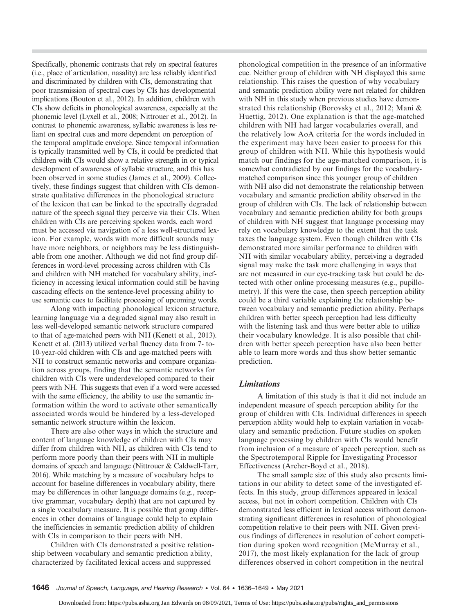Specifically, phonemic contrasts that rely on spectral features (i.e., place of articulation, nasality) are less reliably identified and discriminated by children with CIs, demonstrating that poor transmission of spectral cues by CIs has developmental implications (Bouton et al., 2012). In addition, children with CIs show deficits in phonological awareness, especially at the phonemic level (Lyxell et al., 2008; Nittrouer et al., 2012). In contrast to phonemic awareness, syllabic awareness is less reliant on spectral cues and more dependent on perception of the temporal amplitude envelope. Since temporal information is typically transmitted well by CIs, it could be predicted that children with CIs would show a relative strength in or typical development of awareness of syllabic structure, and this has been observed in some studies (James et al., 2009). Collectively, these findings suggest that children with CIs demonstrate qualitative differences in the phonological structure of the lexicon that can be linked to the spectrally degraded nature of the speech signal they perceive via their CIs. When children with CIs are perceiving spoken words, each word must be accessed via navigation of a less well-structured lexicon. For example, words with more difficult sounds may have more neighbors, or neighbors may be less distinguishable from one another. Although we did not find group differences in word-level processing across children with CIs and children with NH matched for vocabulary ability, inefficiency in accessing lexical information could still be having cascading effects on the sentence-level processing ability to use semantic cues to facilitate processing of upcoming words.

Along with impacting phonological lexicon structure, learning language via a degraded signal may also result in less well-developed semantic network structure compared to that of age-matched peers with NH (Kenett et al., 2013). Kenett et al. (2013) utilized verbal fluency data from 7- to-10-year-old children with CIs and age-matched peers with NH to construct semantic networks and compare organization across groups, finding that the semantic networks for children with CIs were underdeveloped compared to their peers with NH. This suggests that even if a word were accessed with the same efficiency, the ability to use the semantic information within the word to activate other semantically associated words would be hindered by a less-developed semantic network structure within the lexicon.

There are also other ways in which the structure and content of language knowledge of children with CIs may differ from children with NH, as children with CIs tend to perform more poorly than their peers with NH in multiple domains of speech and language (Nittrouer & Caldwell-Tarr, 2016). While matching by a measure of vocabulary helps to account for baseline differences in vocabulary ability, there may be differences in other language domains (e.g., receptive grammar, vocabulary depth) that are not captured by a single vocabulary measure. It is possible that group differences in other domains of language could help to explain the inefficiencies in semantic prediction ability of children with CIs in comparison to their peers with NH.

Children with CIs demonstrated a positive relationship between vocabulary and semantic prediction ability, characterized by facilitated lexical access and suppressed

phonological competition in the presence of an informative cue. Neither group of children with NH displayed this same relationship. This raises the question of why vocabulary and semantic prediction ability were not related for children with NH in this study when previous studies have demonstrated this relationship (Borovsky et al., 2012; Mani & Huettig, 2012). One explanation is that the age-matched children with NH had larger vocabularies overall, and the relatively low AoA criteria for the words included in the experiment may have been easier to process for this group of children with NH. While this hypothesis would match our findings for the age-matched comparison, it is somewhat contradicted by our findings for the vocabularymatched comparison since this younger group of children with NH also did not demonstrate the relationship between vocabulary and semantic prediction ability observed in the group of children with CIs. The lack of relationship between vocabulary and semantic prediction ability for both groups of children with NH suggest that language processing may rely on vocabulary knowledge to the extent that the task taxes the language system. Even though children with CIs demonstrated more similar performance to children with NH with similar vocabulary ability, perceiving a degraded signal may make the task more challenging in ways that are not measured in our eye-tracking task but could be detected with other online processing measures (e.g., pupillometry). If this were the case, then speech perception ability could be a third variable explaining the relationship between vocabulary and semantic prediction ability. Perhaps children with better speech perception had less difficulty with the listening task and thus were better able to utilize their vocabulary knowledge. It is also possible that children with better speech perception have also been better able to learn more words and thus show better semantic prediction.

## Limitations

A limitation of this study is that it did not include an independent measure of speech perception ability for the group of children with CIs. Individual differences in speech perception ability would help to explain variation in vocabulary and semantic prediction. Future studies on spoken language processing by children with CIs would benefit from inclusion of a measure of speech perception, such as the Spectrotemporal Ripple for Investigating Processor Effectiveness (Archer-Boyd et al., 2018).

The small sample size of this study also presents limitations in our ability to detect some of the investigated effects. In this study, group differences appeared in lexical access, but not in cohort competition. Children with CIs demonstrated less efficient in lexical access without demonstrating significant differences in resolution of phonological competition relative to their peers with NH. Given previous findings of differences in resolution of cohort competition during spoken word recognition (McMurray et al., 2017), the most likely explanation for the lack of group differences observed in cohort competition in the neutral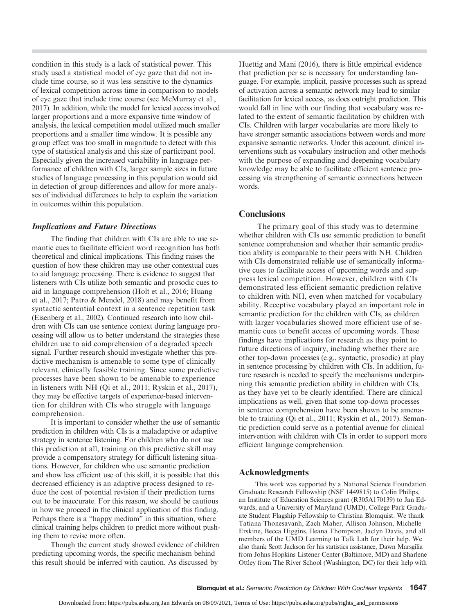condition in this study is a lack of statistical power. This study used a statistical model of eye gaze that did not include time course, so it was less sensitive to the dynamics of lexical competition across time in comparison to models of eye gaze that include time course (see McMurray et al., 2017). In addition, while the model for lexical access involved larger proportions and a more expansive time window of analysis, the lexical competition model utilized much smaller proportions and a smaller time window. It is possible any group effect was too small in magnitude to detect with this type of statistical analysis and this size of participant pool. Especially given the increased variability in language performance of children with CIs, larger sample sizes in future studies of language processing in this population would aid in detection of group differences and allow for more analyses of individual differences to help to explain the variation in outcomes within this population.

## Implications and Future Directions

The finding that children with CIs are able to use semantic cues to facilitate efficient word recognition has both theoretical and clinical implications. This finding raises the question of how these children may use other contextual cues to aid language processing. There is evidence to suggest that listeners with CIs utilize both semantic and prosodic cues to aid in language comprehension (Holt et al., 2016; Huang et al., 2017; Patro & Mendel, 2018) and may benefit from syntactic sentential context in a sentence repetition task (Eisenberg et al., 2002). Continued research into how children with CIs can use sentence context during language processing will allow us to better understand the strategies these children use to aid comprehension of a degraded speech signal. Further research should investigate whether this predictive mechanism is amenable to some type of clinically relevant, clinically feasible training. Since some predictive processes have been shown to be amenable to experience in listeners with NH (Qi et al., 2011; Ryskin et al., 2017), they may be effective targets of experience-based intervention for children with CIs who struggle with language comprehension.

It is important to consider whether the use of semantic prediction in children with CIs is a maladaptive or adaptive strategy in sentence listening. For children who do not use this prediction at all, training on this predictive skill may provide a compensatory strategy for difficult listening situations. However, for children who use semantic prediction and show less efficient use of this skill, it is possible that this decreased efficiency is an adaptive process designed to reduce the cost of potential revision if their prediction turns out to be inaccurate. For this reason, we should be cautious in how we proceed in the clinical application of this finding. Perhaps there is a "happy medium" in this situation, where clinical training helps children to predict more without pushing them to revise more often.

Though the current study showed evidence of children predicting upcoming words, the specific mechanism behind this result should be inferred with caution. As discussed by

Huettig and Mani (2016), there is little empirical evidence that prediction per se is necessary for understanding language. For example, implicit, passive processes such as spread of activation across a semantic network may lead to similar facilitation for lexical access, as does outright prediction. This would fall in line with our finding that vocabulary was related to the extent of semantic facilitation by children with CIs. Children with larger vocabularies are more likely to have stronger semantic associations between words and more expansive semantic networks. Under this account, clinical interventions such as vocabulary instruction and other methods with the purpose of expanding and deepening vocabulary knowledge may be able to facilitate efficient sentence processing via strengthening of semantic connections between words.

## **Conclusions**

The primary goal of this study was to determine whether children with CIs use semantic prediction to benefit sentence comprehension and whether their semantic prediction ability is comparable to their peers with NH. Children with CIs demonstrated reliable use of semantically informative cues to facilitate access of upcoming words and suppress lexical competition. However, children with CIs demonstrated less efficient semantic prediction relative to children with NH, even when matched for vocabulary ability. Receptive vocabulary played an important role in semantic prediction for the children with CIs, as children with larger vocabularies showed more efficient use of semantic cues to benefit access of upcoming words. These findings have implications for research as they point to future directions of inquiry, including whether there are other top-down processes (e.g., syntactic, prosodic) at play in sentence processing by children with CIs. In addition, future research is needed to specify the mechanisms underpinning this semantic prediction ability in children with CIs, as they have yet to be clearly identified. There are clinical implications as well, given that some top-down processes in sentence comprehension have been shown to be amenable to training (Qi et al., 2011; Ryskin et al., 2017). Semantic prediction could serve as a potential avenue for clinical intervention with children with CIs in order to support more efficient language comprehension.

## Acknowledgments

This work was supported by a National Science Foundation Graduate Research Fellowship (NSF 1449815) to Colin Philips, an Institute of Education Sciences grant (R305A170139) to Jan Edwards, and a University of Maryland (UMD), College Park Graduate Student Flagship Fellowship to Christina Blomquist. We thank Tatiana Thonesavanh, Zach Maher, Allison Johnson, Michelle Erskine, Becca Higgins, Ileana Thompson, Jaclyn Davis, and all members of the UMD Learning to Talk Lab for their help. We also thank Scott Jackson for his statistics assistance, Dawn Marsgilia from Johns Hopkins Listener Center (Baltimore, MD) and Sharlene Ottley from The River School (Washington, DC) for their help with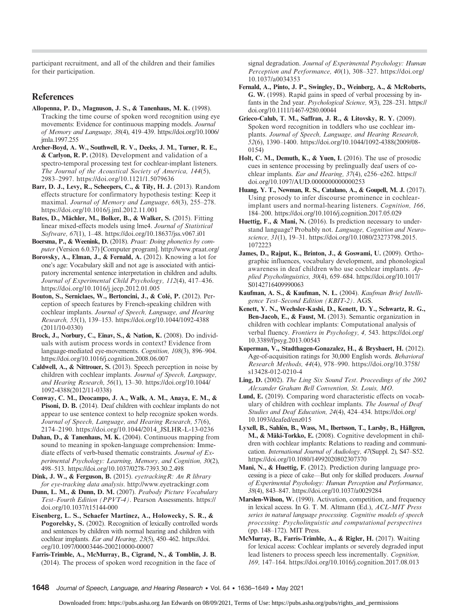participant recruitment, and all of the children and their families for their participation.

## **References**

- Allopenna, P. D., Magnuson, J. S., & Tanenhaus, M. K. (1998). Tracking the time course of spoken word recognition using eye movements: Evidence for continuous mapping models. Journal of Memory and Language, 38(4), 419–439. [https://doi.org/10.1006/](https://doi.org/10.1006/jmla.1997.2558) [jmla.1997.255](https://doi.org/10.1006/jmla.1997.2558)
- Archer-Boyd, A. W., Southwell, R. V., Deeks, J. M., Turner, R. E., & Carlyon, R. P. (2018). Development and validation of a spectro-temporal processing test for cochlear-implant listeners. The Journal of the Acoustical Society of America, 144(5), 2983–2997.<https://doi.org/10.1121/1.5079636>
- Barr, D. J., Levy, R., Scheepers, C., & Tily, H. J. (2013). Random effects structure for confirmatory hypothesis testing: Keep it maximal. Journal of Memory and Language, 68(3), 255–278. <https://doi.org/10.1016/j.jml.2012.11.001>
- Bates, D., Mächler, M., Bolker, B., & Walker, S. (2015). Fitting linear mixed-effects models using lme4. Journal of Statistical Software, 67(1), 1–48.<https://doi.org/10.18637/jss.v067.i01>
- Boersma, P., & Weenink, D. (2018). Praat: Doing phonetics by computer (Version 6.0.37) [Computer program].<http://www.praat.org/>
- Borovsky, A., Elman, J., & Fernald, A. (2012). Knowing a lot for one's age: Vocabulary skill and not age is associated with anticipatory incremental sentence interpretation in children and adults. Journal of Experimental Child Psychology, 112(4), 417–436. <https://doi.org/10.1016/j.jecp.2012.01.005>
- Bouton, S., Serniclaes, W., Bertoncini, J., & Colé, P. (2012). Perception of speech features by French-speaking children with cochlear implants. Journal of Speech, Language, and Hearing Research, 55(1), 139–153. [https://doi.org/10.1044/1092-4388](https://doi.org/10.1044/1092-4388(2011/10-0330)) [\(2011/10-0330\)](https://doi.org/10.1044/1092-4388(2011/10-0330))
- Brock, J., Norbury, C., Einav, S., & Nation, K. (2008). Do individuals with autism process words in context? Evidence from language-mediated eye-movements. Cognition, 108(3), 896–904. <https://doi.org/10.1016/j.cognition.2008.06.007>
- Caldwell, A., & Nittrouer, S. (2013). Speech perception in noise by children with cochlear implants. Journal of Speech, Language, and Hearing Research, 56(1), 13–30. [https://doi.org/10.1044/](https://doi.org/10.1044/1092-4388(2012/11-0338)) [1092-4388\(2012/11-0338\)](https://doi.org/10.1044/1092-4388(2012/11-0338))

Conway, C. M., Deocampo, J. A., Walk, A. M., Anaya, E. M., & Pisoni, D. B. (2014). Deaf children with cochlear implants do not appear to use sentence context to help recognize spoken words. Journal of Speech, Language, and Hearing Research, 57(6), 2174–2190. [https://doi.org/10.1044/2014\\_JSLHR-L-13-0236](https://doi.org/10.1044/2014_JSLHR-L-13-0236)

Dahan, D., & Tanenhaus, M. K. (2004). Continuous mapping from sound to meaning in spoken-language comprehension: Immediate effects of verb-based thematic constraints. Journal of Experimental Psychology: Learning, Memory, and Cognition, 30(2), 498–513.<https://doi.org/10.1037/0278-7393.30.2.498>

Dink, J. W., & Ferguson, B. (2015). eyetracking R: An R library for eye-tracking data analysis.<http://www.eyetrackingr.com>

Dunn, L. M., & Dunn, D. M. (2007). Peabody Picture Vocabulary Test–Fourth Edition (PPVT-4). Pearson Assessments. [https://](https://doi.org/10.1037/t15144-000) [doi.org/10.1037/t15144-000](https://doi.org/10.1037/t15144-000)

Eisenberg, L. S., Schaefer Martinez, A., Holowecky, S. R., & Pogorelsky, S. (2002). Recognition of lexically controlled words and sentences by children with normal hearing and children with cochlear implants. Ear and Hearing, 23(5), 450–462. [https://doi.](https://doi.org/10.1097/00003446-200210000-00007) [org/10.1097/00003446-200210000-00007](https://doi.org/10.1097/00003446-200210000-00007)

Farris-Trimble, A., McMurray, B., Cigrand, N., & Tomblin, J. B. (2014). The process of spoken word recognition in the face of signal degradation. Journal of Experimental Psychology: Human Perception and Performance, 40(1), 308–327. [https://doi.org/](https://doi.org/10.1037/a0034353) [10.1037/a0034353](https://doi.org/10.1037/a0034353)

- Fernald, A., Pinto, J. P., Swingley, D., Weinberg, A., & McRoberts, G. W. (1998). Rapid gains in speed of verbal processing by infants in the 2nd year. Psychological Science, 9(3), 228–231. [https://](https://doi.org/10.1111/1467-9280.00044) [doi.org/10.1111/1467-9280.00044](https://doi.org/10.1111/1467-9280.00044)
- Grieco-Calub, T. M., Saffran, J. R., & Litovsky, R. Y. (2009). Spoken word recognition in toddlers who use cochlear implants. Journal of Speech, Language, and Hearing Research, 52(6), 1390–1400. [https://doi.org/10.1044/1092-4388\(2009/08-](https://doi.org/10.1044/1092-4388(2009/08-0154)) [0154\)](https://doi.org/10.1044/1092-4388(2009/08-0154))
- Holt, C. M., Demuth, K., & Yuen, I. (2016). The use of prosodic cues in sentence processing by prelingually deaf users of cochlear implants. Ear and Hearing, 37(4), e256–e262. [https://](https://doi.org/10.1097/AUD.0000000000000253) [doi.org/10.1097/AUD.0000000000000253](https://doi.org/10.1097/AUD.0000000000000253)
- Huang, Y. T., Newman, R. S., Catalano, A., & Goupell, M. J. (2017). Using prosody to infer discourse prominence in cochlearimplant users and normal-hearing listeners. Cognition, 166, 184–200.<https://doi.org/10.1016/j.cognition.2017.05.029>
- Huettig, F., & Mani, N. (2016). Is prediction necessary to understand language? Probably not. Language, Cognition and Neuroscience, 31(1), 19–31. [https://doi.org/10.1080/23273798.2015.](https://doi.org/10.1080/23273798.2015.1072223) [1072223](https://doi.org/10.1080/23273798.2015.1072223)
- James, D., Rajput, K., Brinton, J., & Goswami, U. (2009). Orthographic influences, vocabulary development, and phonological awareness in deaf children who use cochlear implants. Applied Psycholinguistics, 30(4), 659–684. [https://doi.org/10.1017/](https://doi.org/10.1017/S0142716409990063) [S0142716409990063](https://doi.org/10.1017/S0142716409990063)
- Kaufman, A. S., & Kaufman, N. L. (2004). Kaufman Brief Intelligence Test–Second Edition (KBIT-2). AGS.
- Kenett, Y. N., Wechsler-Kashi, D., Kenett, D. Y., Schwartz, R. G., Ben-Jacob, E., & Faust, M. (2013). Semantic organization in children with cochlear implants: Computational analysis of verbal fluency. Frontiers in Psychology, 4, 543. [https://doi.org/](https://doi.org/10.3389/fpsyg.2013.00543) [10.3389/fpsyg.2013.00543](https://doi.org/10.3389/fpsyg.2013.00543)
- Kuperman, V., Stadthagen-Gonazalez, H., & Brysbaert, H. (2012). Age-of-acquisition ratings for 30,000 English words. Behavioral Research Methods, 44(4), 978–990. [https://doi.org/10.3758/](https://doi.org/10.3758/s13428-012-0210-4) [s13428-012-0210-4](https://doi.org/10.3758/s13428-012-0210-4)
- Ling, D. (2002). The Ling Six Sound Test. Proceedings of the 2002 Alexander Graham Bell Convention, St. Louis, MO.
- Lund, E. (2019). Comparing word characteristic effects on vocabulary of children with cochlear implants. The Journal of Deaf Studies and Deaf Education, 24(4), 424–434. [https://doi.org/](https://doi.org/10.1093/deafed/enz015) [10.1093/deafed/enz015](https://doi.org/10.1093/deafed/enz015)
- Lyxell, B., Sahlén, B., Wass, M., Ibertsson, T., Larsby, B., Hällgren, M., & Mäki-Torkko, E. (2008). Cognitive development in children with cochlear implants: Relations to reading and communication. International Journal of Audiology, 47(Suppl. 2), S47-S52. <https://doi.org/10.1080/14992020802307370>
- Mani, N., & Huettig, F. (2012). Prediction during language processing is a piece of cake—But only for skilled producers. Journal of Experimental Psychology: Human Perception and Performance, 38(4), 843–847.<https://doi.org/10.1037/a0029284>
- Marslen-Wilson, W. (1990). Activation, competition, and frequency in lexical access. In G. T. M. Altmann (Ed.), ACL-MIT Press series in natural language processing. Cognitive models of speech processing: Psycholinguistic and computational perspectives (pp. 148–172). MIT Press.
- McMurray, B., Farris-Trimble, A., & Rigler, H. (2017). Waiting for lexical access: Cochlear implants or severely degraded input lead listeners to process speech less incrementally. Cognition, 169, 147–164.<https://doi.org/10.1016/j.cognition.2017.08.013>